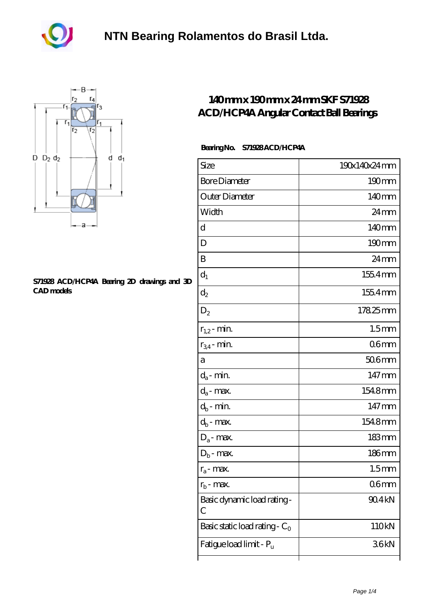



## **[S71928 ACD/HCP4A Bearing 2D drawings and 3D](https://akfvr.com/pic-65070291.html) [CAD models](https://akfvr.com/pic-65070291.html)**

## **[140 mm x 190 mm x 24 mm SKF S71928](https://akfvr.com/bb-65070291-skf-s71928-acd-hcp4a-angular-contact-ball-bearings.html) [ACD/HCP4A Angular Contact Ball Bearings](https://akfvr.com/bb-65070291-skf-s71928-acd-hcp4a-angular-contact-ball-bearings.html)**

## **Bearing No. S71928 ACD/HCP4A**

| Size                             | 190x140x24mm      |
|----------------------------------|-------------------|
| <b>Bore Diameter</b>             | 190mm             |
| Outer Diameter                   | 140mm             |
| Width                            | $24 \text{mm}$    |
| d                                | 140 <sub>mm</sub> |
| D                                | $190 \text{mm}$   |
| B                                | 24 <sub>mm</sub>  |
| $d_1$                            | 1554mm            |
| $\mathrm{d}_2$                   | 1554mm            |
| $D_2$                            | 17825mm           |
| $r_{1,2}$ - min.                 | 1.5 <sub>mm</sub> |
| $r_{34}$ - min.                  | 06 <sub>mm</sub>  |
| а                                | $506$ mm          |
| $d_a$ - min.                     | 147mm             |
| $d_a$ - max.                     | 1548mm            |
| $d_b$ - min.                     | $147 \text{mm}$   |
| $d_b$ - max.                     | 1548mm            |
| $D_a$ - max.                     | $183 \text{mm}$   |
| $D_b$ - max.                     | $186$ mm          |
| $r_a$ - max.                     | 1.5 <sub>mm</sub> |
| $r_{\rm b}$ - max.               | 06mm              |
| Basic dynamic load rating-<br>С  | 90.4kN            |
| Basic static load rating - $C_0$ | 110kN             |
| Fatigue load limit - Pu          | 36kN              |
|                                  |                   |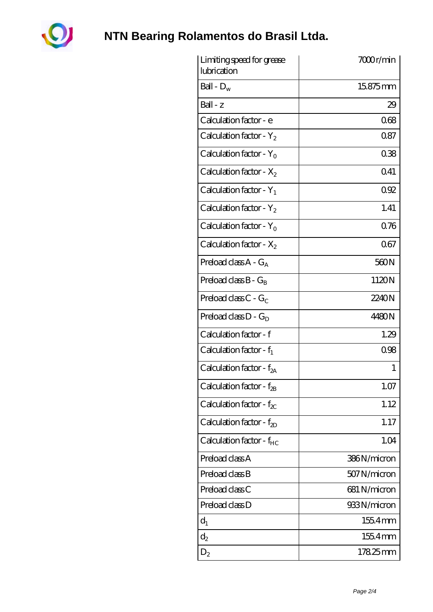

**[NTN Bearing Rolamentos do Brasil Ltda.](https://akfvr.com)**

| Limiting speed for grease<br>lubrication | 7000r/min    |
|------------------------------------------|--------------|
| Ball - $D_w$                             | 15875mm      |
| $Ball - z$                               | 29           |
| Calculation factor - e                   | 068          |
| Calculation factor - $Y_2$               | 0.87         |
| Calculation factor - $Y_0$               | 038          |
| Calculation factor - $X_2$               | 041          |
| Calculation factor - $Y_1$               | 092          |
| Calculation factor - $Y_2$               | 1.41         |
| Calculation factor - $Y_0$               | 076          |
| Calculation factor - $X_2$               | 067          |
| Preload class $A - G_A$                  | 560N         |
| Preload class $B - G_R$                  | 1120N        |
| Preload class C - $G_C$                  | 2240N        |
| Preload class $D - G_D$                  | 4480N        |
| Calculation factor - f                   | 1.29         |
| Calculation factor - $f_1$               | 0.98         |
| Calculation factor - f <sub>2A</sub>     | 1            |
| Calculation factor - $f_{2B}$            | 1.07         |
| Calculation factor - $f_{\chi}$          | 1.12         |
| Calculation factor - $f_{ZD}$            | 1.17         |
| Calculation factor - $f_{HC}$            | 1.04         |
| Preload class A                          | 386N/micron  |
| Preload class B                          | 507N/micron  |
| Preload class C                          | 681 N/micron |
| Preload class D                          | 933N/micron  |
| $d_1$                                    | 1554mm       |
| $d_2$                                    | $1554$ mm    |
| $D_2$                                    | 17825mm      |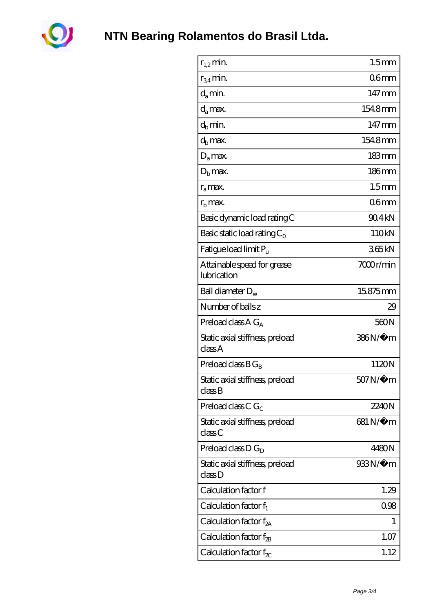

| $r_{1,2}$ min.                             | 1.5 <sub>mm</sub>   |
|--------------------------------------------|---------------------|
| $r_{34}$ min.                              | 06 <sub>mm</sub>    |
| $d_a$ min.                                 | $147 \,\mathrm{mm}$ |
| $d_a$ max.                                 | 1548mm              |
| $d_b$ min.                                 | 147mm               |
| $d_h$ max.                                 | 1548mm              |
| $D_a$ max.                                 | $183 \,\mathrm{mm}$ |
| $D_{b}$ max.                               | $186$ mm            |
| $r_a$ max.                                 | 1.5 <sub>mm</sub>   |
| $rb$ max.                                  | 06 <sub>mm</sub>    |
| Basic dynamic load rating C                | 90.4kN              |
| Basic static load rating $C_0$             | 110kN               |
| Fatigue load limit P <sub>u</sub>          | 365kN               |
| Attainable speed for grease<br>lubrication | 7000r/min           |
| Ball diameter $D_w$                        | 15875mm             |
| Number of balls z                          | 29                  |
| Preload class $A G_A$                      | 560N                |
| Static axial stiffness, preload<br>classA  | 386N/μ m            |
| Preload class $BG_B$                       | 1120N               |
| Static axial stiffness, preload<br>classB  | 507N/μ m            |
| Preload class C $G_C$                      | 2240N               |
| Static axial stiffness, preload<br>classC  | 681 N/μ m           |
| Preload class $D G_D$                      | 4480N               |
| Static axial stiffness, preload<br>classD  | 933N/µ m            |
| Calculation factor f                       | 1.29                |
| Calculation factor $f_1$                   | 0.98                |
| C alculation factor $f_{2A}$               | 1                   |
| Calculation factor $f_{\rm 2B}$            | 1.07                |
| Calculation factor $f_{\chi}$              | 1.12                |